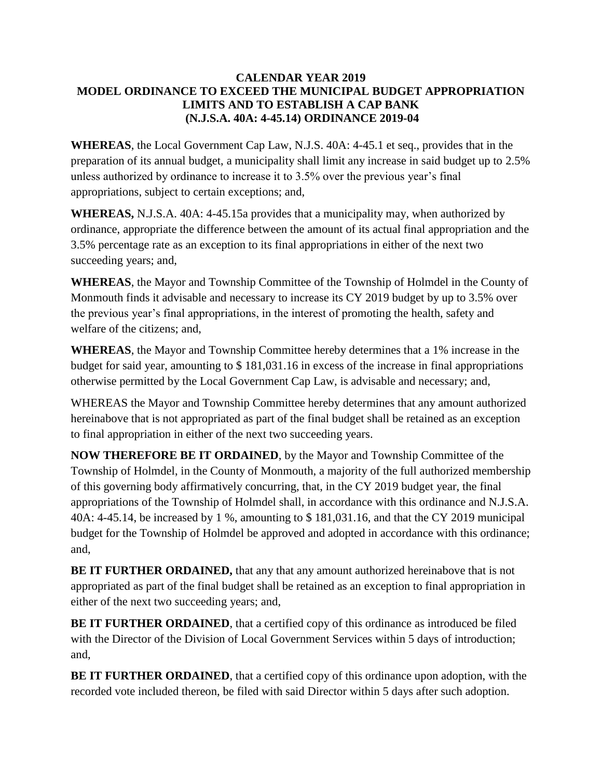## **CALENDAR YEAR 2019 MODEL ORDINANCE TO EXCEED THE MUNICIPAL BUDGET APPROPRIATION LIMITS AND TO ESTABLISH A CAP BANK (N.J.S.A. 40A: 4-45.14) ORDINANCE 2019-04**

**WHEREAS**, the Local Government Cap Law, N.J.S. 40A: 4-45.1 et seq., provides that in the preparation of its annual budget, a municipality shall limit any increase in said budget up to 2.5% unless authorized by ordinance to increase it to 3.5% over the previous year's final appropriations, subject to certain exceptions; and,

**WHEREAS,** N.J.S.A. 40A: 4-45.15a provides that a municipality may, when authorized by ordinance, appropriate the difference between the amount of its actual final appropriation and the 3.5% percentage rate as an exception to its final appropriations in either of the next two succeeding years; and,

**WHEREAS**, the Mayor and Township Committee of the Township of Holmdel in the County of Monmouth finds it advisable and necessary to increase its CY 2019 budget by up to 3.5% over the previous year's final appropriations, in the interest of promoting the health, safety and welfare of the citizens; and,

**WHEREAS**, the Mayor and Township Committee hereby determines that a 1% increase in the budget for said year, amounting to \$ 181,031.16 in excess of the increase in final appropriations otherwise permitted by the Local Government Cap Law, is advisable and necessary; and,

WHEREAS the Mayor and Township Committee hereby determines that any amount authorized hereinabove that is not appropriated as part of the final budget shall be retained as an exception to final appropriation in either of the next two succeeding years.

**NOW THEREFORE BE IT ORDAINED**, by the Mayor and Township Committee of the Township of Holmdel, in the County of Monmouth, a majority of the full authorized membership of this governing body affirmatively concurring, that, in the CY 2019 budget year, the final appropriations of the Township of Holmdel shall, in accordance with this ordinance and N.J.S.A. 40A: 4-45.14, be increased by 1 %, amounting to \$ 181,031.16, and that the CY 2019 municipal budget for the Township of Holmdel be approved and adopted in accordance with this ordinance; and,

**BE IT FURTHER ORDAINED,** that any that any amount authorized hereinabove that is not appropriated as part of the final budget shall be retained as an exception to final appropriation in either of the next two succeeding years; and,

**BE IT FURTHER ORDAINED**, that a certified copy of this ordinance as introduced be filed with the Director of the Division of Local Government Services within 5 days of introduction; and,

**BE IT FURTHER ORDAINED**, that a certified copy of this ordinance upon adoption, with the recorded vote included thereon, be filed with said Director within 5 days after such adoption.